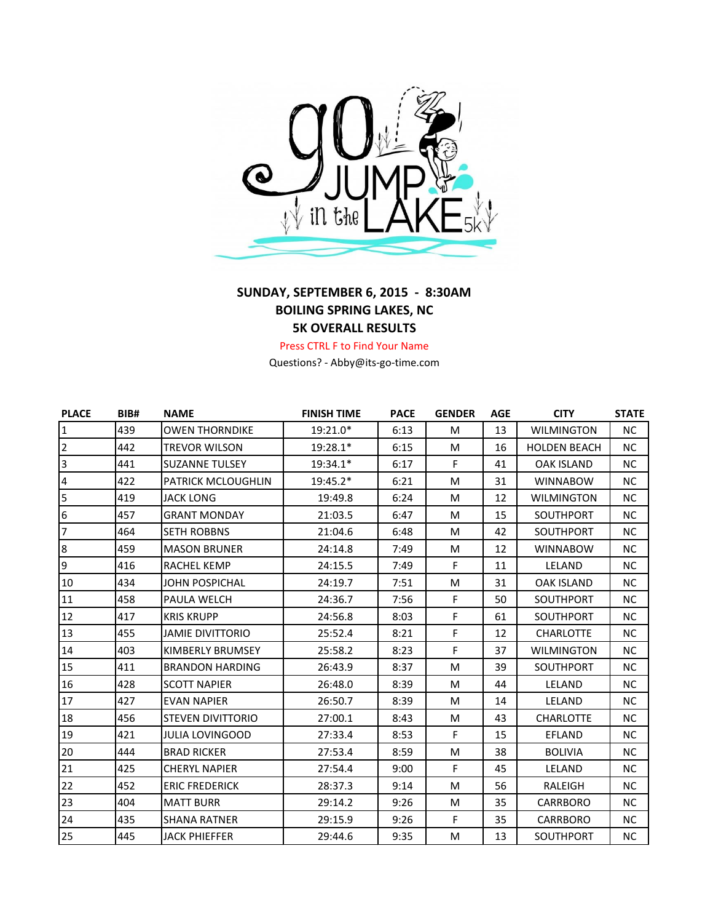

## **SUNDAY, SEPTEMBER 6, 2015 - 8:30AM BOILING SPRING LAKES, NC 5K OVERALL RESULTS**

## Press CTRL F to Find Your Name

Questions? - Abby@its-go-time.com

| <b>PLACE</b>   | BIB# | <b>NAME</b>               | <b>FINISH TIME</b> | <b>PACE</b> | <b>GENDER</b> | <b>AGE</b> | <b>CITY</b>         | <b>STATE</b> |
|----------------|------|---------------------------|--------------------|-------------|---------------|------------|---------------------|--------------|
| $\overline{1}$ | 439  | <b>OWEN THORNDIKE</b>     | 19:21.0*           | 6:13        | M             | 13         | <b>WILMINGTON</b>   | NC.          |
| $\overline{2}$ | 442  | <b>TREVOR WILSON</b>      | 19:28.1*           | 6:15        | M             | 16         | <b>HOLDEN BEACH</b> | <b>NC</b>    |
| $\overline{3}$ | 441  | <b>SUZANNE TULSEY</b>     | 19:34.1*           | 6:17        | F             | 41         | <b>OAK ISLAND</b>   | <b>NC</b>    |
| $\overline{4}$ | 422  | <b>PATRICK MCLOUGHLIN</b> | 19:45.2*           | 6:21        | M             | 31         | <b>WINNABOW</b>     | <b>NC</b>    |
| 5              | 419  | <b>JACK LONG</b>          | 19:49.8            | 6:24        | M             | 12         | <b>WILMINGTON</b>   | <b>NC</b>    |
| $\overline{6}$ | 457  | <b>GRANT MONDAY</b>       | 21:03.5            | 6:47        | M             | 15         | SOUTHPORT           | <b>NC</b>    |
| $\overline{7}$ | 464  | <b>SETH ROBBNS</b>        | 21:04.6            | 6:48        | М             | 42         | <b>SOUTHPORT</b>    | NC.          |
| $\bf 8$        | 459  | <b>MASON BRUNER</b>       | 24:14.8            | 7:49        | М             | 12         | <b>WINNABOW</b>     | <b>NC</b>    |
| $\overline{9}$ | 416  | <b>RACHEL KEMP</b>        | 24:15.5            | 7:49        | F             | 11         | LELAND              | NC.          |
| 10             | 434  | <b>JOHN POSPICHAL</b>     | 24:19.7            | 7:51        | М             | 31         | <b>OAK ISLAND</b>   | NC.          |
| 11             | 458  | PAULA WELCH               | 24:36.7            | 7:56        | F             | 50         | SOUTHPORT           | NC.          |
| 12             | 417  | <b>KRIS KRUPP</b>         | 24:56.8            | 8:03        | F.            | 61         | SOUTHPORT           | <b>NC</b>    |
| 13             | 455  | <b>JAMIE DIVITTORIO</b>   | 25:52.4            | 8:21        | F             | 12         | <b>CHARLOTTE</b>    | <b>NC</b>    |
| 14             | 403  | KIMBERLY BRUMSEY          | 25:58.2            | 8:23        | F             | 37         | <b>WILMINGTON</b>   | <b>NC</b>    |
| 15             | 411  | <b>BRANDON HARDING</b>    | 26:43.9            | 8:37        | M             | 39         | SOUTHPORT           | NC.          |
| 16             | 428  | <b>SCOTT NAPIER</b>       | 26:48.0            | 8:39        | M             | 44         | <b>LELAND</b>       | <b>NC</b>    |
| 17             | 427  | <b>EVAN NAPIER</b>        | 26:50.7            | 8:39        | M             | 14         | LELAND              | <b>NC</b>    |
| 18             | 456  | <b>STEVEN DIVITTORIO</b>  | 27:00.1            | 8:43        | M             | 43         | <b>CHARLOTTE</b>    | <b>NC</b>    |
| 19             | 421  | <b>JULIA LOVINGOOD</b>    | 27:33.4            | 8:53        | F             | 15         | <b>EFLAND</b>       | <b>NC</b>    |
| 20             | 444  | <b>BRAD RICKER</b>        | 27:53.4            | 8:59        | М             | 38         | <b>BOLIVIA</b>      | <b>NC</b>    |
| 21             | 425  | <b>CHERYL NAPIER</b>      | 27:54.4            | 9:00        | F             | 45         | LELAND              | <b>NC</b>    |
| 22             | 452  | <b>ERIC FREDERICK</b>     | 28:37.3            | 9:14        | M             | 56         | RALEIGH             | <b>NC</b>    |
| 23             | 404  | <b>MATT BURR</b>          | 29:14.2            | 9:26        | M             | 35         | <b>CARRBORO</b>     | <b>NC</b>    |
| 24             | 435  | <b>SHANA RATNER</b>       | 29:15.9            | 9:26        | F             | 35         | <b>CARRBORO</b>     | <b>NC</b>    |
| 25             | 445  | <b>JACK PHIEFFER</b>      | 29:44.6            | 9:35        | M             | 13         | <b>SOUTHPORT</b>    | NC.          |